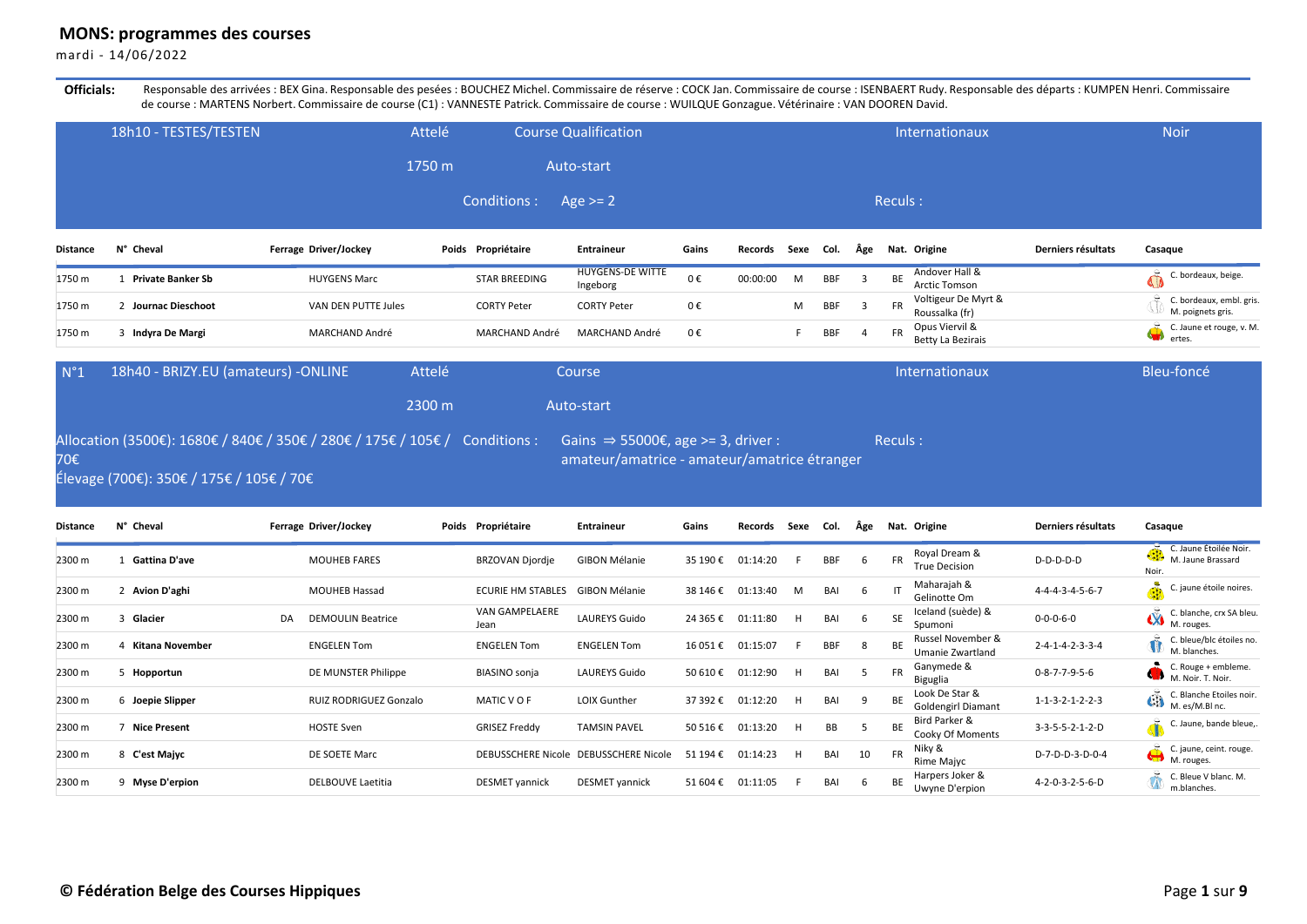## **MONS: programmes des courses**

mardi - 14/06/2022

Officials: Responsable des arrivées : BEX Gina. Responsable des pesées : BOUCHEZ Michel. Commissaire de réserve : COCK Jan. Commissaire de course : ISENBAERT Rudy. Responsable des départs : KUMPEN Henri. Commissaire de course : MARTENS Norbert. Commissaire de course (C1) : VANNESTE Patrick. Commissaire de course : WUILQUE Gonzague. Vétérinaire : VAN DOOREN David.

|          | 18h10 - TESTES/TESTEN    | Attelé                |                      | <b>Course Qualification</b>         |       |          |      |            |                |           | Internationaux                        |                    | <b>Noir</b>                                   |
|----------|--------------------------|-----------------------|----------------------|-------------------------------------|-------|----------|------|------------|----------------|-----------|---------------------------------------|--------------------|-----------------------------------------------|
|          |                          | 1750 m                |                      | Auto-start                          |       |          |      |            |                |           |                                       |                    |                                               |
|          |                          |                       | Conditions :         | Age $>= 2$                          |       |          |      |            |                | Reculs:   |                                       |                    |                                               |
| Distance | N° Cheval                | Ferrage Driver/Jockey | Poids Propriétaire   | Entraineur                          | Gains | Records  | Sexe | Col.       | Âge            |           | Nat. Origine                          | Derniers résultats | Casaque                                       |
| 1750 m   | <b>Private Banker Sb</b> | <b>HUYGENS Marc</b>   | <b>STAR BREEDING</b> | <b>HUYGENS-DE WITTE</b><br>Ingeborg | 0€    | 00:00:00 | M    | <b>BBF</b> | $\overline{3}$ | <b>BE</b> | Andover Hall &<br>Arctic Tomson       |                    | C. bordeaux, beige.                           |
| 1750 m   | Journac Dieschoot        | VAN DEN PUTTE Jules   | <b>CORTY Peter</b>   | <b>CORTY Peter</b>                  | 0€    |          | M    | <b>BBF</b> | $\overline{3}$ | <b>FR</b> | Voltigeur De Myrt &<br>Roussalka (fr) |                    | C. bordeaux, embl. gris.<br>M. poignets gris. |
| 1750 m   | Indyra De Margi          | <b>MARCHAND André</b> | MARCHAND André       | <b>MARCHAND André</b>               | 0€    |          |      | BBF        | $\overline{4}$ | <b>FR</b> | Opus Viervil &<br>Betty La Bezirais   |                    | C. Jaune et rouge, v. M.<br>ertes.            |

| N°1 | 18h40 - BRIZY.EU (amateurs) - ONLINE                                                                                                                                   | Attelé | Course                                       | Internationaux | Bleu-foncé |
|-----|------------------------------------------------------------------------------------------------------------------------------------------------------------------------|--------|----------------------------------------------|----------------|------------|
|     |                                                                                                                                                                        | 2300 m | Auto-start                                   |                |            |
| 70€ | Allocation (3500€): 1680€ / 840€ / 350€ / 280€ / 175€ / 105€ / Conditions : Gains $\Rightarrow$ 55000€, age >= 3, driver :<br>Élevage (700€): 350€ / 175€ / 105€ / 70€ |        | amateur/amatrice - amateur/amatrice étranger | Reculs:        |            |

| Distance | N° Cheval        |    | Ferrage Driver/Jockey    | Poids | Propriétaire                  | <b>Entraineur</b>                     | Gains    | Records  | Sexe | Col.       | Äge |           | Nat. Origine                                | Derniers résultats              | Casague                                                                                                |
|----------|------------------|----|--------------------------|-------|-------------------------------|---------------------------------------|----------|----------|------|------------|-----|-----------|---------------------------------------------|---------------------------------|--------------------------------------------------------------------------------------------------------|
| 2300 m   | Gattina D'ave    |    | <b>MOUHEB FARES</b>      |       | BRZOVAN Djordje               | GIBON Mélanie                         | 35 190 € | 01:14:20 |      | <b>BBF</b> | 6   | <b>FR</b> | Royal Dream &<br><b>True Decision</b>       | $D-D-D-D-D$                     | C. Jaune Étoilée Noir.<br>M. Jaune Brassard<br>Noir.                                                   |
| 2300 m   | 2 Avion D'aghi   |    | <b>MOUHEB Hassad</b>     |       | <b>ECURIE HM STABLES</b>      | GIBON Mélanie                         | 38 146 € | 01:13:40 | м    | BAI        | 6   | ा         | Maharajah &<br>Gelinotte Om                 | 4-4-4-3-4-5-6-7                 | C. jaune étoile noires.                                                                                |
| 2300 m   | Glacier          | DA | <b>DEMOULIN Beatrice</b> |       | <b>VAN GAMPELAERE</b><br>Jean | <b>LAUREYS Guido</b>                  | 24 365 € | 01:11:80 | H    | BAI        | 6   | SF        | Iceland (suède) &<br>Spumoni                | $0 - 0 - 0 - 6 - 0$             | $\sum_{M}^{C. \text{ b.s.}}$<br>C. blanche, crx SA bleu.                                               |
| 2300 m   | Kitana November  |    | <b>ENGELEN Tom</b>       |       | <b>ENGELEN Tom</b>            | <b>ENGELEN Tom</b>                    | 16 051€  | 01:15:07 |      | <b>BBF</b> | 8   | BE        | Russel November &<br>Umanie Zwartland       | $2 - 4 - 1 - 4 - 2 - 3 - 3 - 4$ | C. bleue/blc étoiles no.<br>M. blanches.                                                               |
| 2300 m   | 5 Hopportun      |    | DE MUNSTER Philippe      |       | <b>BIASINO</b> sonja          | <b>LAUREYS Guido</b>                  | 50 610€  | 01:12:90 | H    | BAI        | 5   | <b>FR</b> | Ganymede &<br>Biguglia                      | $0 - 8 - 7 - 7 - 9 - 5 - 6$     | C. Rouge + embleme.<br>M. Noir. T. Noir.                                                               |
| 2300 m   | 6 Joepie Slipper |    | RUIZ RODRIGUEZ Gonzalo   |       | MATIC V O F                   | <b>LOIX Gunther</b>                   | 37 392 € | 01:12:20 | H    | BAI        | 9   | BE        | Look De Star &<br><b>Goldengirl Diamant</b> | $1 - 1 - 3 - 2 - 1 - 2 - 2 - 3$ | C. Blanche Etoiles noir.<br>$\overrightarrow{C}$ . Blance<br>M. es/M.Bl nc.                            |
| 2300 m   | 7 Nice Present   |    | <b>HOSTE Sven</b>        |       | <b>GRISEZ Freddy</b>          | <b>TAMSIN PAVEL</b>                   | 50 516 € | 01:13:20 | H    | BB         | 5   | <b>BE</b> | Bird Parker &<br>Cooky Of Moments           | $3-3-5-5-2-1-2-D$               | C. Jaune, bande bleue,.<br>лĎ                                                                          |
| 2300 m   | 8 C'est Majyc    |    | DE SOETE Marc            |       |                               | DEBUSSCHERE Nicole DEBUSSCHERE Nicole | 51 194 € | 01:14:23 | H    | BAI        | 10  | <b>FR</b> | Niky &<br>Rime Majyc                        | D-7-D-D-3-D-0-4                 | $\overrightarrow{C}$ $\overrightarrow{L}$ or $\overrightarrow{M}$ . rouges.<br>C. jaune, ceint. rouge. |
| 2300 m   | 9 Myse D'erpion  |    | <b>DELBOUVE Laetitia</b> |       | <b>DESMET</b> yannick         | <b>DESMET</b> yannick                 | 51 604 € | 01:11:05 |      | BAI        | 6   | BE        | Harpers Joker &<br>Uwyne D'erpion           | 4-2-0-3-2-5-6-D                 | C. Bleue V blanc. M.<br>m.blanches.                                                                    |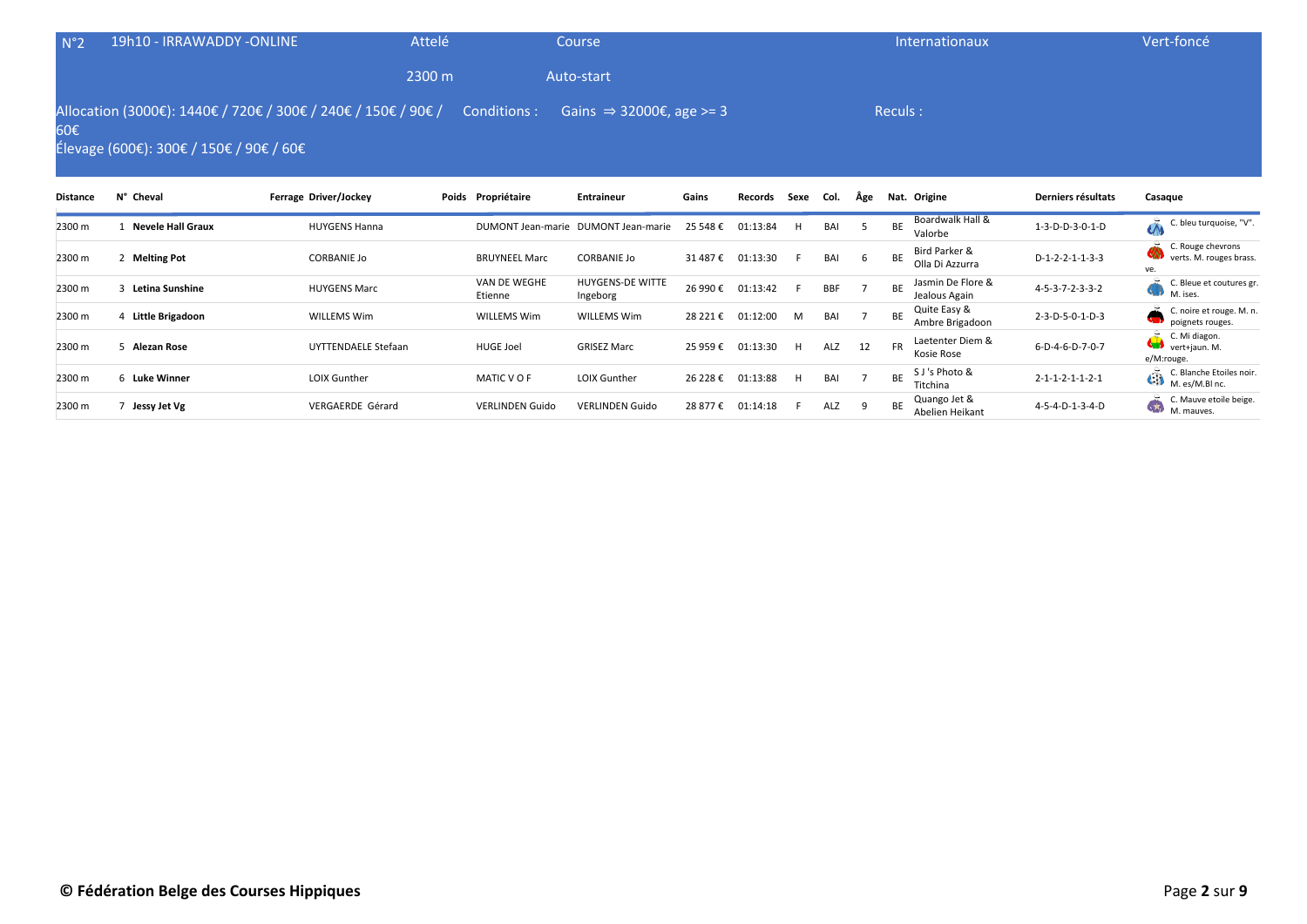| N°2 | 19h10 - IRRAWADDY -ONLINE                                                                                                                                  | Attelé | Course     | Internationaux | Vert-foncé |
|-----|------------------------------------------------------------------------------------------------------------------------------------------------------------|--------|------------|----------------|------------|
|     |                                                                                                                                                            | 2300 m | Auto-start |                |            |
| 60€ | Allocation (3000€): 1440€ / 720€ / 300€ / 240€ / 150€ / 90€ / Conditions : Gains $\Rightarrow$ 32000€, age >= 3<br>Élevage (600€): 300€ / 150€ / 90€ / 60€ |        |            | Reculs:        |            |

| <b>Distance</b> | N° Cheval                | Ferrage Driver/Jockey | Poids Propriétaire      | <b>Entraineur</b>                   | Gains    | Records  | Sexe | Col. | Äge          |           | Nat. Origine                       | Derniers résultats              | Casague                                                          |
|-----------------|--------------------------|-----------------------|-------------------------|-------------------------------------|----------|----------|------|------|--------------|-----------|------------------------------------|---------------------------------|------------------------------------------------------------------|
| 2300 m          | <b>Nevele Hall Graux</b> | <b>HUYGENS Hanna</b>  |                         | DUMONT Jean-marie DUMONT Jean-marie | 25 548 € | 01:13:84 | H    | BAI  |              | BE        | Boardwalk Hall &<br>Valorbe        | 1-3-D-D-3-0-1-D                 | ò.<br>C. bleu turquoise, "V".                                    |
| 2300 m          | <b>Melting Pot</b>       | <b>CORBANIE Jo</b>    | <b>BRUYNEEL Marc</b>    | <b>CORBANIE Jo</b>                  | 31 487 € | 01:13:30 |      | BAI  | $\mathbf{b}$ | BE        | Bird Parker &<br>Olla Di Azzurra   | $D-1-2-2-1-1-3-3$               | C. Rouge chevrons<br>verts. M. rouges brass.<br>ve.              |
| 2300 m          | Letina Sunshine          | <b>HUYGENS Marc</b>   | VAN DE WEGHE<br>Etienne | <b>HUYGENS-DE WITTE</b><br>Ingeborg | 26 990 € | 01:13:42 |      | BBF  |              |           | Jasmin De Flore &<br>Jealous Again | 4-5-3-7-2-3-3-2                 | C. Bleue et coutures gr.<br>M. ises.                             |
| 2300 m          | Little Brigadoon         | <b>WILLEMS Wim</b>    | <b>WILLEMS Wim</b>      | <b>WILLEMS Wim</b>                  | 28 221 € | 01:12:00 | M    | BAI  |              | <b>BE</b> | Quite Easy &<br>Ambre Brigadoon    | 2-3-D-5-0-1-D-3                 | C. noire et rouge. M. n.<br>poignets rouges.                     |
| 2300 m          | Alezan Rose              | UYTTENDAELE Stefaan   | <b>HUGE Joel</b>        | <b>GRISEZ Marc</b>                  | 25 959€  | 01:13:30 | н    | ALZ  | 12           | <b>FR</b> | Laetenter Diem &<br>Kosie Rose     | 6-D-4-6-D-7-0-7                 | C. Mi diagon.<br>$\bullet$ $\bullet$ vert+jaun. M.<br>e/M:rouge. |
| 2300 m          | 6 Luke Winner            | <b>LOIX Gunther</b>   | MATIC V O F             | <b>LOIX Gunther</b>                 | 26 228 € | 01:13:88 | H    | BAI  |              | ВE        | S J 's Photo &<br>Titchina         | $2 - 1 - 1 - 2 - 1 - 1 - 2 - 1$ | C. Blanche Etoiles noir.<br>$\overrightarrow{C}$ M. es/M.BI nc.  |
| 2300 m          | Jessy Jet Vg             | VERGAERDE Gérard      | <b>VERLINDEN Guido</b>  | <b>VERLINDEN Guido</b>              | 28 877€  | 01:14:18 |      | ALZ  | $\Omega$     | <b>BE</b> | Quango Jet &<br>Abelien Heikant    | 4-5-4-D-1-3-4-D                 | C. Mauve etoile beige.<br>$\sqrt{10}$<br>M. mauves.              |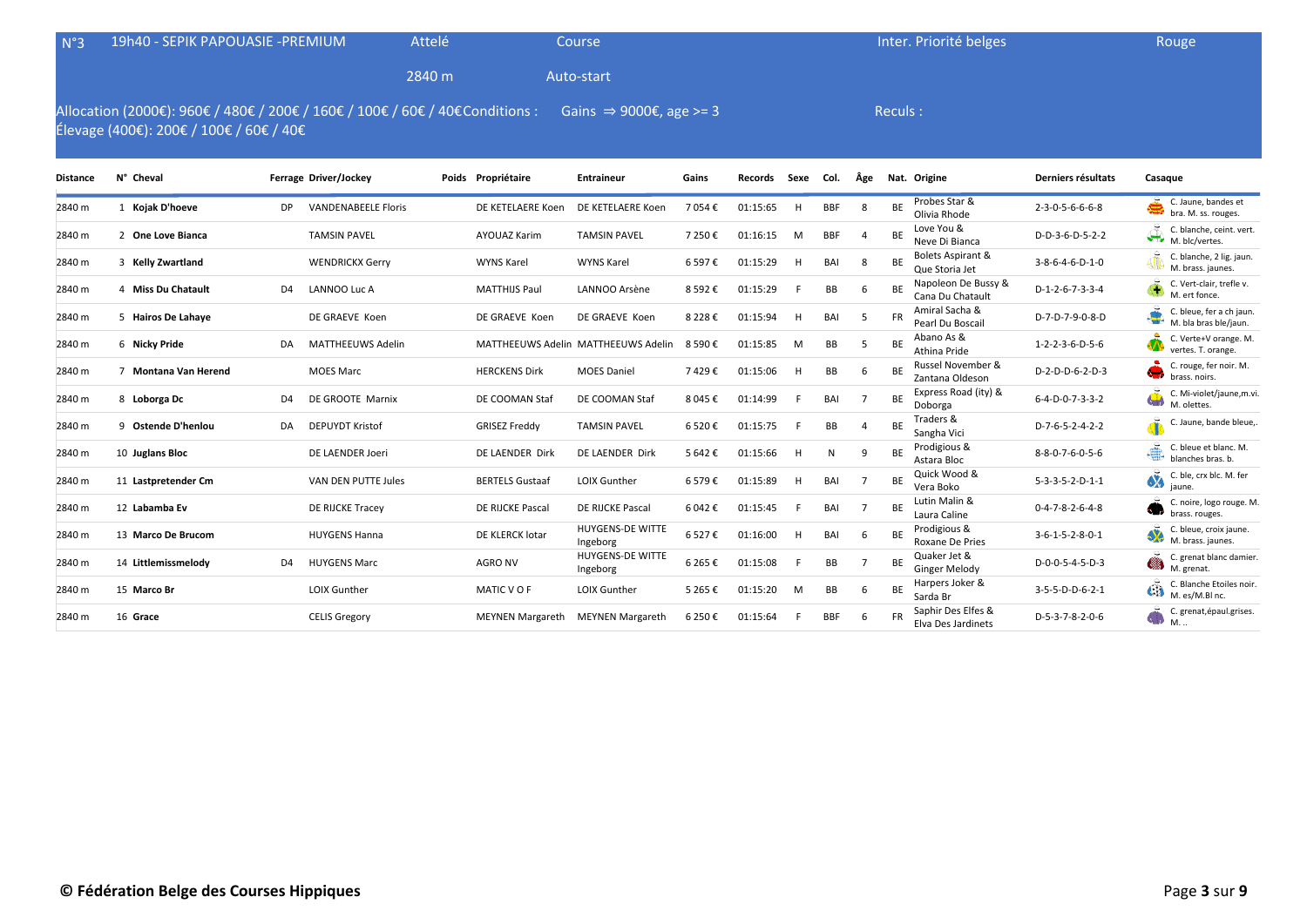| N°3             | 19h40 - SEPIK PAPOUASIE - PREMIUM                                                                                        |                |                            | Attelé |                        | Course                              |           |          |      |            |                |           | Inter. Priorité belges                         |                                 | Rouge                                                            |
|-----------------|--------------------------------------------------------------------------------------------------------------------------|----------------|----------------------------|--------|------------------------|-------------------------------------|-----------|----------|------|------------|----------------|-----------|------------------------------------------------|---------------------------------|------------------------------------------------------------------|
|                 |                                                                                                                          |                |                            | 2840 m |                        | Auto-start                          |           |          |      |            |                |           |                                                |                                 |                                                                  |
|                 | Allocation (2000€): 960€ / 480€ / 200€ / 160€ / 100€ / 60€ / 40€ Conditions :<br>Élevage (400€): 200€ / 100€ / 60€ / 40€ |                |                            |        |                        | Gains $\Rightarrow$ 9000€, age >= 3 |           |          |      |            |                | Reculs:   |                                                |                                 |                                                                  |
| <b>Distance</b> | N° Cheval                                                                                                                |                | Ferrage Driver/Jockey      |        | Poids Propriétaire     | <b>Entraineur</b>                   | Gains     | Records  | Sexe | Col.       | Âge            |           | Nat. Origine                                   | Derniers résultats              | Casaque                                                          |
| 2840 m          | 1 Kojak D'hoeve                                                                                                          | DP.            | <b>VANDENABEELE Floris</b> |        | DE KETELAERE Koen      | DE KETELAERE Koen                   | 7 054€    | 01:15:65 | H.   | <b>BBF</b> | 8              | BE        | Probes Star &<br>Olivia Rhode                  | 2-3-0-5-6-6-6-8                 | $\frac{1}{2}$ C. Jaune, bandes et<br>bra. M. ss. rouges.         |
| 2840 m          | 2 One Love Bianca                                                                                                        |                | <b>TAMSIN PAVEL</b>        |        | <b>AYOUAZ Karim</b>    | <b>TAMSIN PAVEL</b>                 | 7 250€    | 01:16:15 | M    | <b>BBF</b> |                | BE        | Love You &<br>Neve Di Bianca                   | D-D-3-6-D-5-2-2                 | C. blanche, ceint. vert.<br>M. blc/vertes.                       |
| 2840 m          | 3 Kelly Zwartland                                                                                                        |                | <b>WENDRICKX Gerry</b>     |        | <b>WYNS Karel</b>      | <b>WYNS Karel</b>                   | 6 597€    | 01:15:29 | H.   | BAI        | 8              | <b>BE</b> | <b>Bolets Aspirant &amp;</b><br>Que Storia Jet | $3 - 8 - 6 - 4 - 6 - D - 1 - 0$ | C. blanche, 2 lig. jaun.<br>M. brass. jaunes.                    |
| 2840 m          | 4 Miss Du Chatault                                                                                                       | D <sub>4</sub> | LANNOO Luc A               |        | <b>MATTHIJS Paul</b>   | LANNOO Arsène                       | 8 5 9 2€  | 01:15:29 |      | BB         | 6              | BE        | Napoleon De Bussy &<br>Cana Du Chatault        | D-1-2-6-7-3-3-4                 | C. Vert-clair, trefle v.<br>M. ert fonce.                        |
| 2840 m          | 5 Hairos De Lahaye                                                                                                       |                | DE GRAEVE Koen             |        | DE GRAEVE Koen         | DE GRAEVE Koen                      | 8 2 2 8 € | 01:15:94 | H    | BAI        | 5              | <b>FR</b> | Amiral Sacha &<br>Pearl Du Boscail             | D-7-D-7-9-0-8-D                 | C. bleue, fer a ch jaun.<br>M. bla bras ble/jaun.                |
| 2840 m          | 6 Nicky Pride                                                                                                            | DA             | <b>MATTHEEUWS Adelin</b>   |        |                        | MATTHEEUWS Adelin MATTHEEUWS Adelin | 8 590€    | 01:15:85 | M    | BB         | .5             | BE        | Abano As &<br>Athina Pride                     | 1-2-2-3-6-D-5-6                 | C. Verte+V orange. M.<br>vertes. T. orange.                      |
| 2840 m          | 7 Montana Van Herend                                                                                                     |                | <b>MOES Marc</b>           |        | <b>HERCKENS Dirk</b>   | <b>MOES Daniel</b>                  | 7429€     | 01:15:06 | н    | BB         | 6              | BE        | Russel November &<br>Zantana Oldeson           | D-2-D-D-6-2-D-3                 | C. rouge, fer noir. M.<br><b>CH</b><br>brass. noirs.             |
| 2840 m          | 8 Loborga Dc                                                                                                             | D <sub>4</sub> | DE GROOTE Marnix           |        | DE COOMAN Staf         | DE COOMAN Staf                      | 8 045 €   | 01:14:99 |      | BAI        | $\overline{7}$ | <b>BE</b> | Express Road (ity) &<br>Doborga                | $6 - 4 - D - 0 - 7 - 3 - 3 - 2$ | C. Mi-violet/jaune,m.vi.<br>w<br>M. olettes.                     |
| 2840 m          | 9 Ostende D'henlou                                                                                                       | DA             | <b>DEPUYDT Kristof</b>     |        | <b>GRISEZ Freddy</b>   | <b>TAMSIN PAVEL</b>                 | 6 520€    | 01:15:75 |      | BB         |                | ВE        | Traders &<br>Sangha Vici                       | D-7-6-5-2-4-2-2                 | C. Jaune, bande bleue,                                           |
| 2840 m          | 10 Juglans Bloc                                                                                                          |                | DE LAENDER Joeri           |        | DE LAENDER Dirk        | DE LAENDER Dirk                     | 5 642€    | 01:15:66 | H    | N          | 9              | ВE        | Prodigious &<br>Astara Bloc                    | 8-8-0-7-6-0-5-6                 | C. bleue et blanc. M<br>đ.<br>blanches bras. b.                  |
| 2840 m          | 11 Lastpretender Cm                                                                                                      |                | VAN DEN PUTTE Jules        |        | <b>BERTELS Gustaaf</b> | <b>LOIX Gunther</b>                 | 6579€     | 01:15:89 | н    | BAI        | 7              | BE        | Quick Wood &<br>Vera Boko                      | $5 - 3 - 3 - 5 - 2 - D - 1 - 1$ | C. ble, crx blc. M. fer<br><b>A</b><br>iaune.                    |
| 2840 m          | 12 Labamba Ev                                                                                                            |                | DE RIJCKE Tracey           |        | DE RIJCKE Pascal       | DE RIJCKE Pascal                    | 6 042 €   | 01:15:45 |      | BAI        | -7             | BE        | Lutin Malin &<br>Laura Caline                  | $0 - 4 - 7 - 8 - 2 - 6 - 4 - 8$ | C. noire, logo rouge. M.<br>- 30<br>brass. rouges.               |
| 2840 m          | 13 Marco De Brucom                                                                                                       |                | <b>HUYGENS Hanna</b>       |        | DE KLERCK lotar        | HUYGENS-DE WITTE<br>Ingeborg        | 6 527€    | 01:16:00 | н    | BAI        | 6              | ВE        | Prodigious &<br>Roxane De Pries                | $3 - 6 - 1 - 5 - 2 - 8 - 0 - 1$ | C. bleue, croix jaune.<br><b>SX</b><br>M. brass. jaunes.         |
| 2840 m          | 14 Littlemissmelody                                                                                                      | D <sub>4</sub> | <b>HUYGENS Marc</b>        |        | <b>AGRO NV</b>         | HUYGENS-DE WITTE<br>Ingeborg        | 6 265€    | 01:15:08 |      | BB         |                | ВE        | Quaker Jet &<br><b>Ginger Melody</b>           | D-0-0-5-4-5-D-3                 | C. grenat blanc damier.<br>▩<br>M. grenat.                       |
| 2840 m          | 15 Marco Br                                                                                                              |                | <b>LOIX Gunther</b>        |        | MATIC VOF              | <b>LOIX Gunther</b>                 | 5 265 €   | 01:15:20 | M    | BB         | 6              | ВE        | Harpers Joker &<br>Sarda Br                    | 3-5-5-D-D-6-2-1                 | C. Blanche Etoiles noir.<br>$\bigoplus_{M. \text{ es/M.BI nc.}}$ |

2840 m <sup>16</sup> **Grace** CELIS Gregory MEYNEN Margareth MEYNEN Margareth 6 250 € 01:15:64 <sup>F</sup> BBF <sup>6</sup> FR Saphir Des Elfes &

Saphir Des Elfes & D-5-3-7-8-2-0-6 C. grenat, épaul.grises.<br>Elva Des Jardinets D-5-3-7-8-2-0-6 M. ..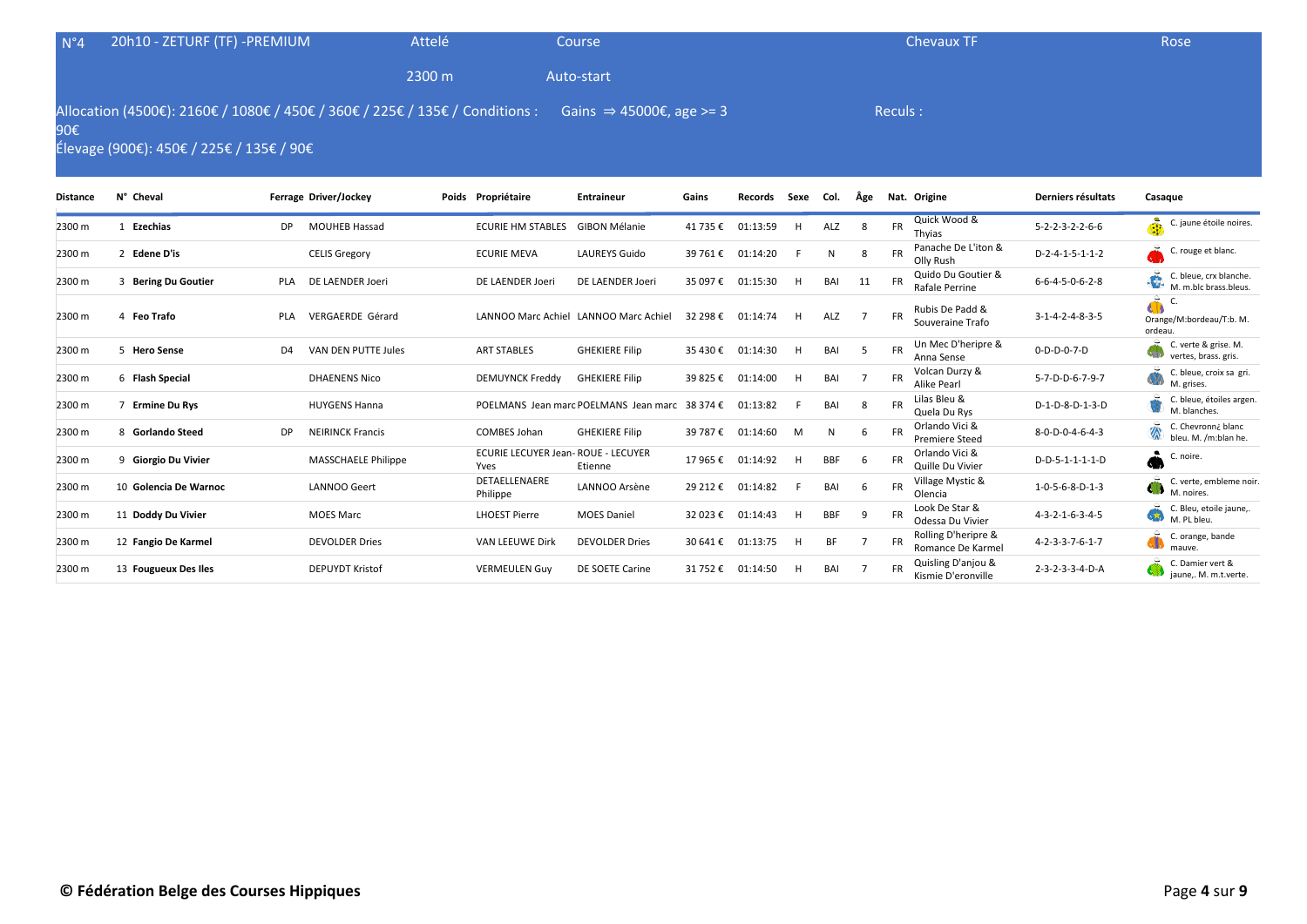| $N^{\circ}4$                                                                                                                                                                       | 20h10 - ZETURF (TF) -PREMIUM |                |                       | Attelé |                          | Course                                |          |          |      |      |     |           | <b>Chevaux TF</b>                    |                                 | Rose                                                  |
|------------------------------------------------------------------------------------------------------------------------------------------------------------------------------------|------------------------------|----------------|-----------------------|--------|--------------------------|---------------------------------------|----------|----------|------|------|-----|-----------|--------------------------------------|---------------------------------|-------------------------------------------------------|
|                                                                                                                                                                                    |                              |                |                       | 2300 m |                          | Auto-start                            |          |          |      |      |     |           |                                      |                                 |                                                       |
| Allocation (4500€): 2160€ / 1080€ / 450€ / 360€ / 225€ / 135€ / Conditions :<br>Gains $\Rightarrow$ 45000€, age >= 3<br>Reculs:<br>90€<br>Élevage (900€): 450€ / 225€ / 135€ / 90€ |                              |                |                       |        |                          |                                       |          |          |      |      |     |           |                                      |                                 |                                                       |
| <b>Distance</b>                                                                                                                                                                    | N° Cheval                    |                | Ferrage Driver/Jockey |        | Poids Propriétaire       | <b>Entraineur</b>                     | Gains    | Records  | Sexe | Col. | Äge |           | Nat. Origine                         | Derniers résultats              | Casaque                                               |
| 2300 m                                                                                                                                                                             | Ezechias                     | <b>DP</b>      | <b>MOUHEB Hassad</b>  |        | <b>ECURIE HM STABLES</b> | <b>GIBON Mélanie</b>                  | 41 735 € | 01:13:59 | H    | ALZ  | 8   | <b>FR</b> | Quick Wood &<br>Thyias               | $5 - 2 - 2 - 3 - 2 - 2 - 6 - 6$ | å<br>C. jaune étoile noires.                          |
| 2300 m                                                                                                                                                                             | 2 Edene D'is                 |                | <b>CELIS Gregory</b>  |        | <b>ECURIE MEVA</b>       | <b>LAUREYS Guido</b>                  | 39 761 € | 01:14:20 |      | N    | 8   | <b>FR</b> | Panache De L'iton &<br>Olly Rush     | $D-2-4-1-5-1-1-2$               | £.<br>C. rouge et blanc.                              |
| 2300 m                                                                                                                                                                             | 3 Bering Du Goutier          | <b>PLA</b>     | DE LAENDER Joeri      |        | DE LAENDER Joeri         | DE LAENDER Joeri                      | 35 097€  | 01:15:30 | H    | BAI  | 11  | <b>FR</b> | Quido Du Goutier &<br>Rafale Perrine | $6 - 6 - 4 - 5 - 0 - 6 - 2 - 8$ | C. bleue, crx blanche.<br>40<br>M. m.blc brass.bleus. |
| 2300 m                                                                                                                                                                             | 4 Feo Trafo                  | <b>PLA</b>     | VERGAERDE Gérard      |        |                          | LANNOO Marc Achiel LANNOO Marc Achiel | 32 298 € | 01:14:74 | H    | ALZ  |     | <b>FR</b> | Rubis De Padd &<br>Souveraine Trafo  | $3-1-4-2-4-8-3-5$               | 乓<br>C<br>4D)<br>Orange/M:bordeau/T:b. M.<br>ordeau.  |
| 2300 m                                                                                                                                                                             | 5 Hero Sense                 | D <sub>4</sub> | VAN DEN PUTTE Jules   |        | <b>ART STABLES</b>       | <b>GHEKIERE Filip</b>                 | 35 430 € | 01:14:30 | H    | BAI  |     | <b>FR</b> | Un Mec D'heripre &<br>Anna Sense     | $0 - D - D - 0 - 7 - D$         | C. verte & grise. M.<br>vertes, brass. gris.          |
| 2300 m                                                                                                                                                                             | 6 Flash Special              |                | <b>DHAENENS Nico</b>  |        | <b>DEMUYNCK Freddy</b>   | <b>GHEKIERE Filip</b>                 | 39 825 € | 01:14:00 | H    | BAI  |     | <b>FR</b> | Volcan Durzy &<br><b>Alike Pearl</b> | 5-7-D-D-6-7-9-7                 | C. bleue, croix sa gri.<br>M. grises.                 |

17 965 € 01:14:92 H BBF 6 FR Orlando Vici &

Philippe LANNOO Arsène 29 212 € 01:14:82 <sup>F</sup> BAI <sup>6</sup> FR Village Mystic &

2300 m <sup>7</sup> **Ermine Du Rys** HUYGENS Hanna POELMANS Jean marc POELMANS Jean marc 38 374 € 01:13:82 <sup>F</sup> BAI <sup>8</sup> FR Lilas Bleu &

2300 m <sup>8</sup> **Gorlando Steed** DP NEIRINCK Francis COMBES Johan GHEKIERE Filip 39 787 € 01:14:60 <sup>M</sup> <sup>N</sup> <sup>6</sup> FR Orlando Vici &

2300 m <sup>11</sup> **Doddy Du Vivier** MOES Marc LHOEST Pierre MOES Daniel 32 023 € 01:14:43 <sup>H</sup> BBF <sup>9</sup> FR Look De Star &

2300 m <sup>12</sup> **Fangio De Karmel** DEVOLDER Dries VAN LEEUWE Dirk DEVOLDER Dries 30 641 € 01:13:75 <sup>H</sup> BF <sup>7</sup> FR Rolling D'heripre &

2300 m <sup>13</sup> **Fougueux Des Iles** DEPUYDT Kristof VERMEULEN Guy DE SOETE Carine 31 752 € 01:14:50 <sup>H</sup> BAI <sup>7</sup> FR Quisling D'anjou &

ECURIE LECUYER Jean-ROUE - LECUYER

Yves

<sup>2</sup> 200 m 9 **Giorgio Du Vivier** MASSCHAELE Philippe ECURIE LECUTER Jean-ROUE - 1<br>Ftienne Etienne

2300 m <sup>10</sup> **Golencia De Warnoc** LANNOO Geert DETAELLENAERE

 $D-1-D-8-D-1-3-D$  C. bleue, étoiles argen.

J.

D-D-5-1-1-1-1-D **C.** noire.

Orlando Vici & 8-0-D-0-4-6-4-3 C. Chevronn¿ blanc<br>Premiere Steed 8-0-D-0-4-6-4-3 bleu. M. /m:blan he

Village Mystic &  $1-0-5-6-8-D-1-3$  C. verte, embleme noir.<br>Olencia

Look De Star &  $4-3-2-1-6-3-4-5$  C. Bleu, etoile jaune,<br>Odessa Du Vivier  $4-3-2-1-6-3-4-5$  C. Bleu, et bleu.

Quisling D'anjou & 2-3-2-3-3-4-D-A C. Damier vert & C. Damier vert & C. Damier vert & C. Damier vert & C. Damier vert & C. Damier vert & C. Damier vert & C. Damier vert & C. Damier vert & C. Damier vert & C. Damier vert &

Rolling D'heripre &  $4-2-3-3-7-6-1-7$  C. orange, bande<br>Romance De Karmel  $4-2-3-3-7-6-1-7$ 

M. blanches.

M. noires.

M. PL bleu.

mauve.

bleu. M. /m:blan he.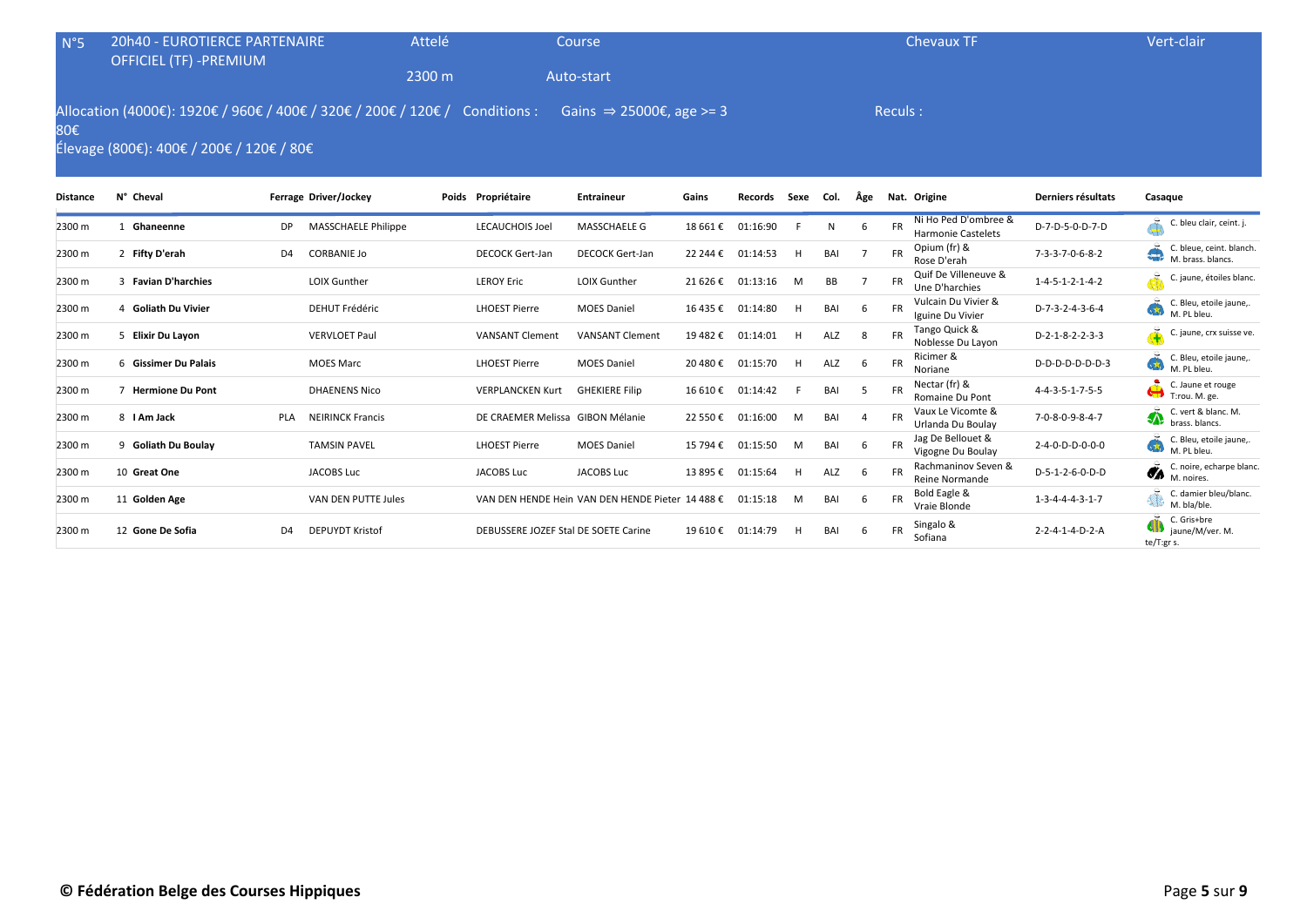| $N^{\circ}5$ | <b>20h40 - EUROTIERCE PARTENAIRE</b><br><b>OFFICIEL (TF) -PREMIUM</b>                                      | Attelé                               |        | Course                 |                                      |          |          |      |      |     | <b>Chevaux TF</b> |                                                   | Vert-clair                      |                                               |
|--------------|------------------------------------------------------------------------------------------------------------|--------------------------------------|--------|------------------------|--------------------------------------|----------|----------|------|------|-----|-------------------|---------------------------------------------------|---------------------------------|-----------------------------------------------|
|              |                                                                                                            |                                      | 2300 m |                        | Auto-start                           |          |          |      |      |     |                   |                                                   |                                 |                                               |
| 80€          | Allocation (4000€): 1920€ / 960€ / 400€ / 320€ / 200€ / 120€ /<br>Élevage (800€): 400€ / 200€ / 120€ / 80€ |                                      |        | Conditions :           | Gains $\Rightarrow$ 25000€, age >= 3 |          |          |      |      |     | Reculs:           |                                                   |                                 |                                               |
| Distance     | N° Cheval                                                                                                  | Ferrage Driver/Jockey                |        | Poids Propriétaire     | <b>Entraineur</b>                    | Gains    | Records  | Sexe | Col. | Äge |                   | Nat. Origine                                      | Derniers résultats              | Casaque                                       |
| 2300 m       | Ghaneenne                                                                                                  | MASSCHAELE Philippe<br>DP            |        | LECAUCHOIS Joel        | MASSCHAELE G                         | 18 661 € | 01:16:90 |      | N    | 6   | <b>FR</b>         | Ni Ho Ped D'ombree &<br><b>Harmonie Castelets</b> | D-7-D-5-0-D-7-D                 | C. bleu clair, ceint. j.                      |
| 2300 m       | 2 Fifty D'erah                                                                                             | D <sub>4</sub><br><b>CORBANIE Jo</b> |        | <b>DECOCK Gert-Jan</b> | <b>DECOCK Gert-Jan</b>               | 22 244 € | 01:14:53 | H    | BAI  |     | FR                | Opium (fr) &<br>Rose D'erah                       | $7 - 3 - 3 - 7 - 0 - 6 - 8 - 2$ | C. bleue, ceint. blanch.<br>M. brass. blancs. |
| 2300 m       | <b>Favian D'harchies</b>                                                                                   | LOIX Gunther                         |        | <b>LEROY Eric</b>      | <b>LOIX Gunther</b>                  | 21 626 € | 01:13:16 | M    | BB   |     | FR                | Quif De Villeneuve &<br>Une D'harchies            | $1 - 4 - 5 - 1 - 2 - 1 - 4 - 2$ | <b>d</b><br>C. jaune, étoiles blanc.          |

2300 m <sup>4</sup> **Goliath Du Vivier** DEHUT Frédéric LHOEST Pierre MOES Daniel 16 435 € 01:14:80 <sup>H</sup> BAI <sup>6</sup> FR Vulcain Du Vivier &

2300 m <sup>5</sup> **Elixir Du Layon** VERVLOET Paul VANSANT Clement VANSANT Clement 19 482 € 01:14:01 <sup>H</sup> ALZ <sup>8</sup> FR Tango Quick &

2300 m <sup>7</sup> **Hermione Du Pont** DHAENENS Nico VERPLANCKEN Kurt GHEKIERE Filip 16 610 € 01:14:42 <sup>F</sup> BAI <sup>5</sup> FR Nectar (fr) &

2300 m <sup>8</sup> **I Am Jack** PLA NEIRINCK Francis DE CRAEMER Melissa GIBON Mélanie 22 550 € 01:16:00 <sup>M</sup> BAI <sup>4</sup> FR Vaux Le Vicomte &

2300 m <sup>9</sup> **Goliath Du Boulay** TAMSIN PAVEL LHOEST Pierre MOES Daniel 15 794 € 01:15:50 <sup>M</sup> BAI <sup>6</sup> FR Jag De Bellouet &

2300 m 11 **Golden Age** VAN DEN PUTTE Jules VAN DEN HENDE Hein VAN DEN HENDE Pieter 14 488 € 01:15:18 M BAI 6 FR Bold Eagle &

<u>2</u><br>2300 m 12 **Gone De Sofia D4** DEPUYDT Kristof DEBUSSERE JOZEF Stal DE SOETE Carine 19 610 € 01:14:79 H BAI 6 FR Sofiana

2300 m <sup>10</sup> **Great One** JACOBS Luc JACOBS Luc JACOBS Luc 13 895 € 01:15:64 <sup>H</sup> ALZ <sup>6</sup> FR Rachmaninov Seven &

2300 m <sup>6</sup> **Gissimer Du Palais** MOES Marc LHOEST Pierre MOES Daniel 20 480 € 01:15:70 <sup>H</sup> ALZ <sup>6</sup> FR Ricimer &

| © Fédération Belge des Courses Hippiques | Page 5 sur 9 |
|------------------------------------------|--------------|
|------------------------------------------|--------------|

Vulcain Du Vivier & D-7-3-2-4-3-6-4 C. Bleu, etoile jaune,.<br>Iguine Du Vivier **D-7-3-2-4-3-6-4** M. PL bleu.

Tango Quick &  $D-2-1-8-2-2-3-3$  C. jaune, crx suisse ve.

Ricimer & C. Bleu, etoile jaune,.<br>Noriane C. C. Bleu, etoile jaune,.

Nectar (fr) & **A.** 4-4-3-5-1-7-5-5 C. Jaune et rouge C. Jaune et rouge C. Jaune et rouge C. Jaune et rouge

Vaux Le Vicomte & 7-0-8-0-9-8-4-7 C. vert & blanc. M.<br>Urlanda Du Boulay 7-0-8-0-9-8-4-7 C. brass. blancs.

Jag De Bellouet & 2-4-0-D-D-0-0-0<br>Vigogne Du Boulay 2-4-0-D-D-0-0-0

Rachmaninov Seven & D-5-1-2-6-0-D-D  $\bullet$  C. noire, echarpe blanc.<br>Reine Normande

 $2 - 2 - 4 - 1 - 4 - D - 2 - A$ 

1-3-4-4-4-3-1-7 C. damier bleu/blanc.<br>
M. bla/ble.<br>
C. Gris+bre

te/T:gr s.

M. bla/ble.

C. Gris+bre<br>jaune/M/ver. M.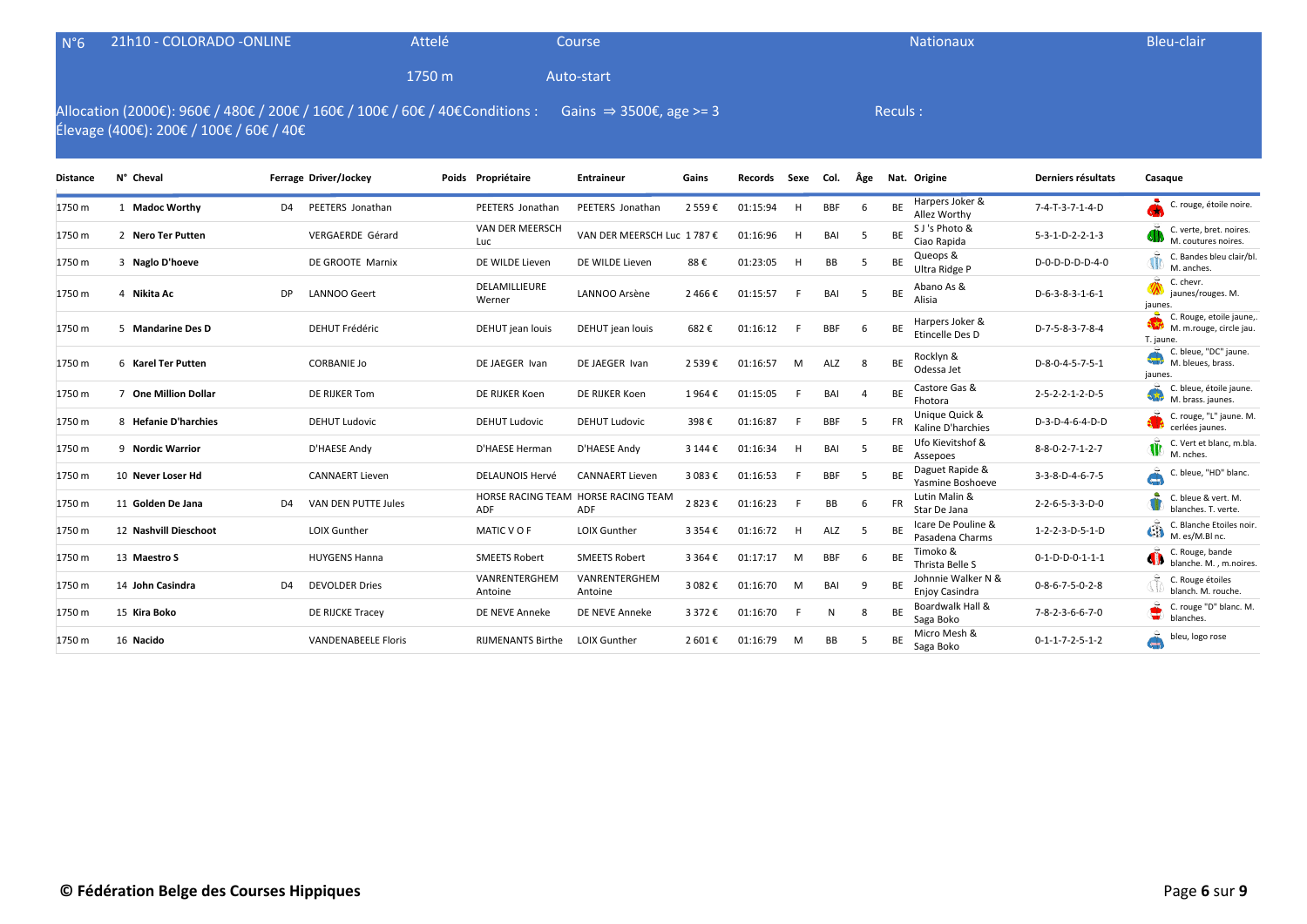| $N^{\circ}6$    | 21h10 - COLORADO -ONLINE                                                                                                 |                |                        | Attelé |                          | Course                                     |           |          |      |            |                | Nationaux                                   |                                 | <b>Bleu-clair</b>                                                |
|-----------------|--------------------------------------------------------------------------------------------------------------------------|----------------|------------------------|--------|--------------------------|--------------------------------------------|-----------|----------|------|------------|----------------|---------------------------------------------|---------------------------------|------------------------------------------------------------------|
|                 |                                                                                                                          |                |                        | 1750 m |                          | Auto-start                                 |           |          |      |            |                |                                             |                                 |                                                                  |
|                 | Allocation (2000€): 960€ / 480€ / 200€ / 160€ / 100€ / 60€ / 40€ Conditions :<br>Élevage (400€): 200€ / 100€ / 60€ / 40€ |                |                        |        |                          | Gains $\Rightarrow$ 3500€, age >= 3        |           |          |      |            |                | Reculs:                                     |                                 |                                                                  |
| <b>Distance</b> | N° Cheval                                                                                                                |                | Ferrage Driver/Jockey  |        | Poids Propriétaire       | Entraineur                                 | Gains     | Records  | Sexe | Col.       | Äge            | Nat. Origine                                | Derniers résultats              | Casaque                                                          |
| 1750 m          | 1 Madoc Worthy                                                                                                           | D4             | PEETERS Jonathan       |        | PEETERS Jonathan         | PEETERS Jonathan                           | 2 559€    | 01:15:94 | H    | <b>BBF</b> | 6              | Harpers Joker &<br>BE<br>Allez Worthy       | 7-4-T-3-7-1-4-D                 | C. rouge, étoile noire.                                          |
| 1750 m          | 2 Nero Ter Putten                                                                                                        |                | VERGAERDE Gérard       |        | VAN DER MEERSCH<br>Luc   | VAN DER MEERSCH Luc 1787 €                 |           | 01:16:96 | H    | BAI        | 5              | S J's Photo &<br><b>BE</b><br>Ciao Rapida   | $5-3-1-D-2-2-1-3$               | C. verte, bret. noires.<br>M. coutures noires.                   |
| 1750 m          | 3 Naglo D'hoeve                                                                                                          |                | DE GROOTE Marnix       |        | DE WILDE Lieven          | DE WILDE Lieven                            | 88€       | 01:23:05 | H    | BB         | .5             | Queops &<br><b>BE</b><br>Ultra Ridge P      | D-0-D-D-D-D-4-0                 | C. Bandes bleu clair/bl.<br>M. anches.                           |
| 1750 m          | 4 Nikita Ac                                                                                                              | DP             | LANNOO Geert           |        | DELAMILLIEURE<br>Werner  | LANNOO Arsène                              | 2466€     | 01:15:57 | F    | BAI        | 5              | Abano As &<br>BE<br>Alisia                  | $D-6-3-8-3-1-6-1$               | C. chevr.<br>jaunes/rouges. M.<br>jaunes.                        |
| 1750 m          | 5 Mandarine Des D                                                                                                        |                | <b>DEHUT Frédéric</b>  |        | DEHUT jean louis         | DEHUT jean louis                           | 682€      | 01:16:12 |      | <b>BBF</b> | 6              | Harpers Joker &<br>BE<br>Etincelle Des D    | D-7-5-8-3-7-8-4                 | C. Rouge, etoile jaune,.<br>M. m.rouge, circle jau.<br>T. jaune. |
| 1750 m          | 6 Karel Ter Putten                                                                                                       |                | <b>CORBANIE Jo</b>     |        | DE JAEGER Ivan           | DE JAEGER Ivan                             | 2 539€    | 01:16:57 | M    | ALZ        | 8              | Rocklyn &<br>BE<br>Odessa Jet               | D-8-0-4-5-7-5-1                 | C. bleue, "DC" jaune.<br>M. bleues, brass.<br>jaunes.            |
| 1750 m          | 7 One Million Dollar                                                                                                     |                | DE RIJKER Tom          |        | DE RIJKER Koen           | DE RIJKER Koen                             | 1964€     | 01:15:05 |      | BAI        | $\overline{4}$ | Castore Gas &<br>BE<br>Fhotora              | 2-5-2-2-1-2-D-5                 | C. bleue, étoile jaune.<br>ST.<br>M. brass. jaunes.              |
| 1750 m          | 8 Hefanie D'harchies                                                                                                     |                | <b>DEHUT Ludovic</b>   |        | <b>DEHUT Ludovic</b>     | <b>DEHUT Ludovic</b>                       | 398€      | 01:16:87 |      | <b>BBF</b> | -5             | Unique Quick &<br>FR<br>Kaline D'harchies   | D-3-D-4-6-4-D-D                 | C. rouge, "L" jaune. M.<br>cerlées jaunes.                       |
| 1750 m          | 9 Nordic Warrior                                                                                                         |                | D'HAESE Andy           |        | D'HAESE Herman           | D'HAESE Andy                               | 3 144 €   | 01:16:34 |      | BAI        | 5              | Ufo Kievitshof &<br>BE<br>Assepoes          | $8 - 8 - 0 - 2 - 7 - 1 - 2 - 7$ | C. Vert et blanc, m.bla.<br>Ŵ<br>M. nches.                       |
| 1750 m          | 10 Never Loser Hd                                                                                                        |                | <b>CANNAERT Lieven</b> |        | <b>DELAUNOIS Hervé</b>   | <b>CANNAERT Lieven</b>                     | 3 083€    | 01:16:53 |      | <b>BBF</b> | -5             | Daguet Rapide &<br>BE<br>Yasmine Boshoeve   | $3-3-8-D-4-6-7-5$               | C. bleue, "HD" blanc.<br>G)                                      |
| 1750 m          | 11 Golden De Jana                                                                                                        | D <sub>4</sub> | VAN DEN PUTTE Jules    |        | <b>ADF</b>               | HORSE RACING TEAM HORSE RACING TEAM<br>ADF | 2823€     | 01:16:23 |      | BB         | 6              | Lutin Malin &<br>FR<br>Star De Jana         | 2-2-6-5-3-3-D-0                 | ٠<br>C. bleue & vert. M.<br>blanches. T. verte.                  |
| 1750 m          | 12 Nashvill Dieschoot                                                                                                    |                | LOIX Gunther           |        | MATIC VOF                | <b>LOIX Gunther</b>                        | 3 3 5 4 € | 01:16:72 | H    | ALZ        | 5              | Icare De Pouline &<br>BE<br>Pasadena Charms | 1-2-2-3-D-5-1-D                 | C. Blanche Etoiles noir.<br>$\bigoplus_{M. \text{ es/M.BI nc.}}$ |
| 1750 m          | 13 Maestro S                                                                                                             |                | <b>HUYGENS Hanna</b>   |        | <b>SMEETS Robert</b>     | <b>SMEETS Robert</b>                       | 3 364 €   | 01:17:17 | M    | <b>BBF</b> | 6              | Timoko &<br>BE<br>Thrista Belle S           | $0-1-D-D-0-1-1-1$               | C. Rouge, bande<br>blanche. M., m.noires.                        |
| 1750 m          | 14 John Casindra                                                                                                         | D <sub>4</sub> | <b>DEVOLDER Dries</b>  |        | VANRENTERGHEM<br>Antoine | VANRENTERGHEM<br>Antoine                   | 3 082€    | 01:16:70 | M    | BAI        | -9             | Johnnie Walker N &<br>BE<br>Enjoy Casindra  | $0 - 8 - 6 - 7 - 5 - 0 - 2 - 8$ | C. Rouge étoiles<br>blanch. M. rouche.                           |
| 1750 m          | 15 Kira Boko                                                                                                             |                | DE RIJCKE Tracey       |        | DE NEVE Anneke           | DE NEVE Anneke                             | 3 372 €   | 01:16:70 |      | N          | 8              | Boardwalk Hall &<br><b>BE</b><br>Saga Boko  | $7 - 8 - 2 - 3 - 6 - 6 - 7 - 0$ | C. rouge "D" blanc. M.<br>┳<br>blanches.                         |
| 1750 m          | 16 Nacido                                                                                                                |                | VANDENABEELE Floris    |        | <b>RIJMENANTS Birthe</b> | <b>LOIX Gunther</b>                        | 2 601 €   | 01:16:79 | M    | BB         | 5              | Micro Mesh &<br>BE<br>Saga Boko             | $0 - 1 - 1 - 7 - 2 - 5 - 1 - 2$ | bleu, logo rose<br>Ð                                             |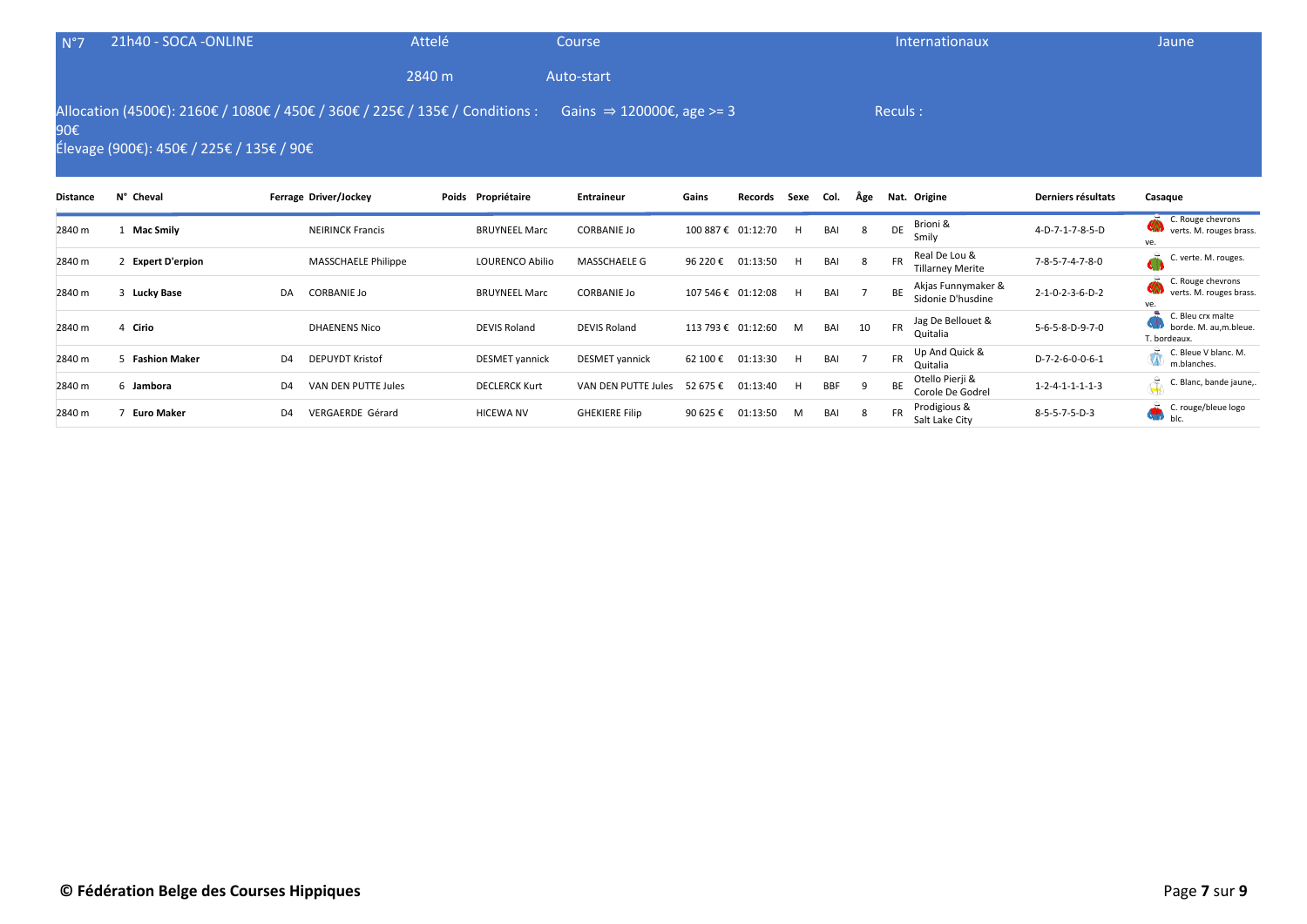| $N^{\circ}$ 7   | 21h40 - SOCA -ONLINE                     | Attelé                                                                       |                        | Course                                |          |                    |      |      |     | Internationaux                                        |                    | Jaune                                               |
|-----------------|------------------------------------------|------------------------------------------------------------------------------|------------------------|---------------------------------------|----------|--------------------|------|------|-----|-------------------------------------------------------|--------------------|-----------------------------------------------------|
|                 |                                          | 2840 m                                                                       |                        | Auto-start                            |          |                    |      |      |     |                                                       |                    |                                                     |
| 90€             | Élevage (900€): 450€ / 225€ / 135€ / 90€ | Allocation (4500€): 2160€ / 1080€ / 450€ / 360€ / 225€ / 135€ / Conditions : |                        | Gains $\Rightarrow$ 120000€, age >= 3 |          |                    |      |      |     | Reculs:                                               |                    |                                                     |
| <b>Distance</b> | N° Cheval                                | Ferrage Driver/Jockey                                                        | Poids Propriétaire     | Entraineur                            | Gains    | Records            | Sexe | Col. | Âge | Nat. Origine                                          | Derniers résultats | Casague                                             |
| 2840 m          | <b>Mac Smily</b>                         | <b>NEIRINCK Francis</b>                                                      | <b>BRUYNEEL Marc</b>   | <b>CORBANIE Jo</b>                    |          | 100 887 € 01:12:70 | H.   | BAI  | 8   | Brioni &<br>DE<br>Smily                               | 4-D-7-1-7-8-5-D    | C. Rouge chevrons<br>verts. M. rouges brass.<br>ve. |
| 2840 m          | <b>Expert D'erpion</b>                   | MASSCHAELE Philippe                                                          | <b>LOURENCO Abilio</b> | MASSCHAELE G                          | 96 220 € | 01:13:50           | H    | BAI  | 8   | Real De Lou &<br><b>FR</b><br><b>Tillarney Merite</b> | 7-8-5-7-4-7-8-0    | å<br>C. verte. M. rouges.                           |

2840 m <sup>3</sup> **Lucky Base** DA CORBANIE Jo BRUYNEEL Marc CORBANIE Jo 107 546 € 01:12:08 <sup>H</sup> BAI <sup>7</sup> BE Akjas Funnymaker & Sidonie D'husdine 2-1-0-2-3-6-D-2

2840 m <sup>4</sup> **Cirio** DHAENENS Nico DEVIS Roland DEVIS Roland 113 793 € 01:12:60 <sup>M</sup> BAI <sup>10</sup> FR Jag De Bellouet &

2840 m <sup>5</sup> **Fashion Maker** D4 DEPUYDT Kristof DESMET yannick DESMET yannick 62 100 € 01:13:30 <sup>H</sup> BAI <sup>7</sup> FR Up And Quick &

2840 m <sup>6</sup> **Jambora** D4 VAN DEN PUTTE Jules DECLERCK Kurt VAN DEN PUTTE Jules 52 675 € 01:13:40 <sup>H</sup> BBF <sup>9</sup> BE Otello Pierji &

2840 m <sup>7</sup> **Euro Maker** D4 VERGAERDE Gérard HICEWA NV GHEKIERE Filip 90 625 € 01:13:50 <sup>M</sup> BAI <sup>8</sup> FR Prodigious &

C. Rouge chevrons verts. M. rouges brass.

C. Bleu crx malte borde. M. au,m.bleue.

m.blanches.

ve.

T. bordeaux.

Jag De Bellouet & 5-6-5-8-D-9-7-0

Up And Quick &  $D$ -7-2-6-0-0-6-1 C. Bleue V blanc. M.<br>Quitalia

Otello Pierji &  $1-2-4-1-1-1-1-3$  C. Blanc, bande jaune,

Prodigious & ED 8-5-5-7-5-D-3 C. rouge/bleue logo Calt Lake City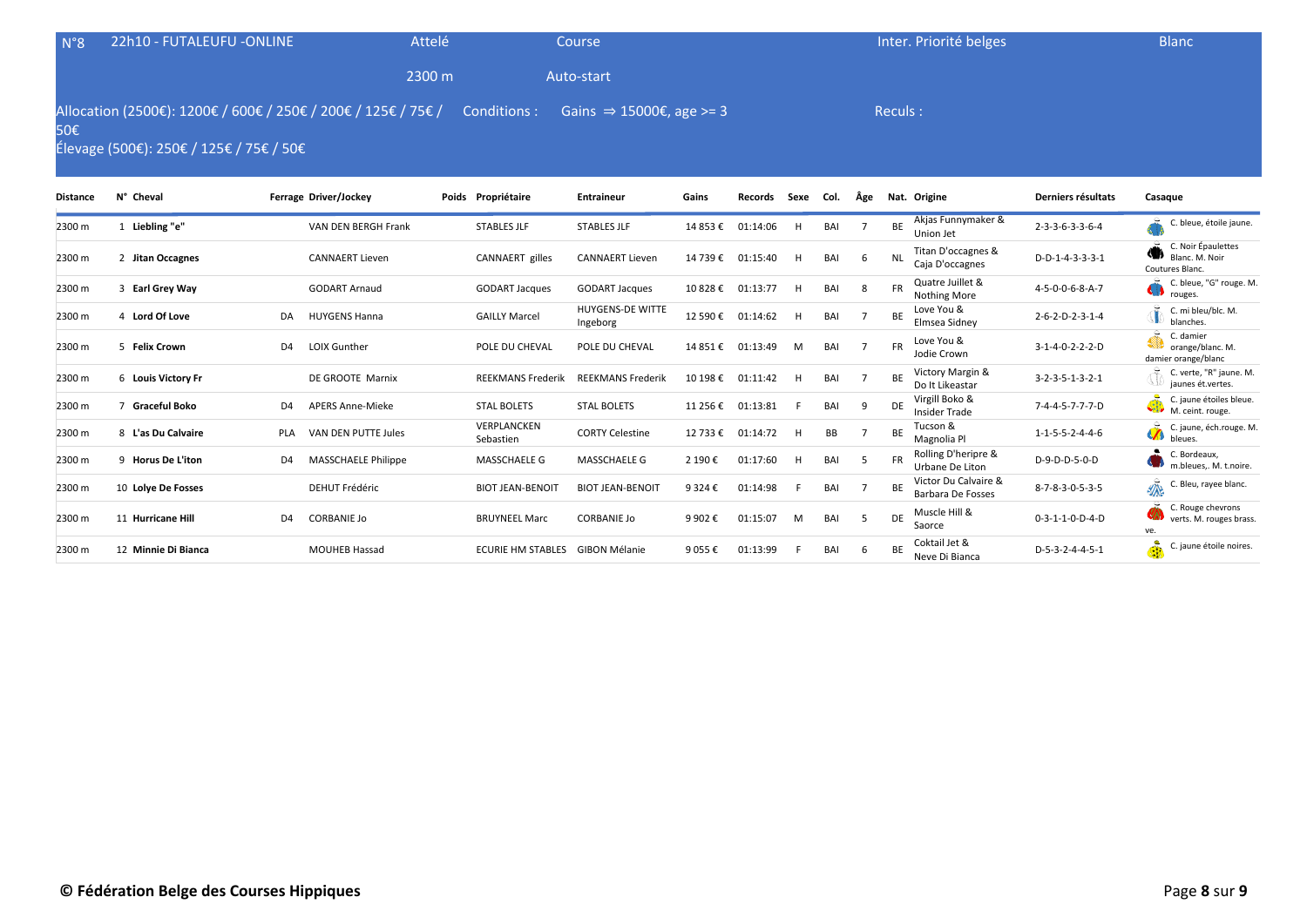| $N^{\circ}8$ | 22h10 - FUTALEUFU -ONLINE               | Attelé                                                                                                          |                    | Course     |       |  |  | Inter. Priorité belges             |                    | <b>Blanc</b> |
|--------------|-----------------------------------------|-----------------------------------------------------------------------------------------------------------------|--------------------|------------|-------|--|--|------------------------------------|--------------------|--------------|
|              |                                         | 2300 m                                                                                                          |                    | Auto-start |       |  |  |                                    |                    |              |
| 50€          | Élevage (500€): 250€ / 125€ / 75€ / 50€ | Allocation (2500€): 1200€ / 600€ / 250€ / 200€ / 125€ / 75€ / Conditions : Gains $\Rightarrow$ 15000€, age >= 3 |                    |            |       |  |  | Reculs :                           |                    |              |
| Distance     | N° Cheval                               | Ferrage Driver/Jockey                                                                                           | Poids Propriétaire | Entraineur | Gains |  |  | Records Sexe Col. Âge Nat. Origine | Derniers résultats | Casague      |

| Distance | <b>IN CHEVAL</b>     |                | <b>Lettage DIREI/JOCKEY</b> | Pulus Proprietaire       | <b>Elitialiteur</b>                 | adilis    | Recorus  | うせんせ | LUI. | Age |           | ivat. Uligille                            | Derniers resultats              | casayue                                                        |
|----------|----------------------|----------------|-----------------------------|--------------------------|-------------------------------------|-----------|----------|------|------|-----|-----------|-------------------------------------------|---------------------------------|----------------------------------------------------------------|
| 2300 m   | Liebling "e"         |                | VAN DEN BERGH Frank         | <b>STABLES JLF</b>       | <b>STABLES JLF</b>                  | 14 853 €  | 01:14:06 |      | BAI  |     | BE        | Akjas Funnymaker &<br>Union Jet           | $2 - 3 - 3 - 6 - 3 - 3 - 6 - 4$ | C. bleue, étoile jaune.                                        |
| 2300 m   | 2 Jitan Occagnes     |                | <b>CANNAERT Lieven</b>      | <b>CANNAERT</b> gilles   | <b>CANNAERT Lieven</b>              | 14 739€   | 01:15:40 | н    | BAI  | -6  | <b>NL</b> | Titan D'occagnes &<br>Caja D'occagnes     | D-D-1-4-3-3-3-1                 | C. Noir Épaulettes<br>KU)<br>Blanc. M. Noir<br>Coutures Blanc. |
| 2300 m   | 3 Earl Grey Way      |                | <b>GODART Arnaud</b>        | <b>GODART Jacques</b>    | <b>GODART Jacques</b>               | 10 828€   | 01:13:77 | H    | BAI  | -8  | <b>FR</b> | Quatre Juillet &<br>Nothing More          | 4-5-0-0-6-8-A-7                 | C. bleue, "G" rouge. M.<br>u<br>rouges.                        |
| 2300 m   | 4 Lord Of Love       | DA             | <b>HUYGENS Hanna</b>        | <b>GAILLY Marcel</b>     | <b>HUYGENS-DE WITTE</b><br>Ingeborg | 12 590 €  | 01:14:62 |      | BAI  |     | <b>BE</b> | Love You &<br>Elmsea Sidney               | $2 - 6 - 2 - D - 2 - 3 - 1 - 4$ | C. mi bleu/blc. M.<br>blanches.                                |
| 2300 m   | 5 Felix Crown        | D <sub>4</sub> | <b>LOIX Gunther</b>         | POLE DU CHEVAL           | POLE DU CHEVAL                      | 14 851 €  | 01:13:49 | M    | BAI  |     | <b>FR</b> | Love You &<br>Jodie Crown                 | $3 - 1 - 4 - 0 - 2 - 2 - 2 - D$ | C. damier<br>orange/blanc. M.<br>damier orange/blanc           |
| 2300 m   | 6 Louis Victory Fr   |                | DE GROOTE Marnix            | <b>REEKMANS Frederik</b> | <b>REEKMANS Frederik</b>            | 10 198€   | 01:11:42 | H    | BAI  |     | BE        | Victory Margin &<br>Do It Likeastar       | $3 - 2 - 3 - 5 - 1 - 3 - 2 - 1$ | C. verte, "R" jaune. M.<br>jaunes ét.vertes.                   |
| 2300 m   | <b>Graceful Boko</b> | D <sub>4</sub> | <b>APERS Anne-Mieke</b>     | <b>STAL BOLETS</b>       | <b>STAL BOLETS</b>                  | 11 256 €  | 01:13:81 |      | BAI  | - q | <b>DE</b> | Virgill Boko &<br><b>Insider Trade</b>    | 7-4-4-5-7-7-7-D                 | C. jaune étoiles bleue.<br>M. ceint. rouge.                    |
| 2300 m   | 8 L'as Du Calvaire   | PLA            | VAN DEN PUTTE Jules         | VERPLANCKEN<br>Sebastien | <b>CORTY Celestine</b>              | 12 733 €  | 01:14:72 | н    | BB   |     | BE        | Tucson &<br>Magnolia Pl                   | $1 - 1 - 5 - 5 - 2 - 4 - 4 - 6$ | C. jaune, éch.rouge. M.<br>bleues.                             |
| 2300 m   | 9 Horus De L'iton    | D4             | <b>MASSCHAELE Philippe</b>  | MASSCHAELE G             | MASSCHAELE G                        | 2 190 €   | 01:17:60 | H    | BAI  | .5  | <b>FR</b> | Rolling D'heripre &<br>Urbane De Liton    | D-9-D-D-5-0-D                   | C. Bordeaux,<br>m.bleues,. M. t.noire.                         |
| 2300 m   | 10 Lolye De Fosses   |                | <b>DEHUT Frédéric</b>       | <b>BIOT JEAN-BENOIT</b>  | <b>BIOT JEAN-BENOIT</b>             | 9 3 2 4 € | 01:14:98 |      | BAI  |     | BE        | Victor Du Calvaire &<br>Barbara De Fosses | 8-7-8-3-0-5-3-5                 | ₩<br>C. Bleu, rayee blanc.                                     |
| 2300 m   | 11 Hurricane Hill    | D <sub>4</sub> | <b>CORBANIE Jo</b>          | <b>BRUYNEEL Marc</b>     | <b>CORBANIE Jo</b>                  | 9 902 €   | 01:15:07 | M    | BAI  | -5  | DE        | Muscle Hill &<br>Saorce                   | $0 - 3 - 1 - 1 - 0 - D - 4 - D$ | C. Rouge chevrons<br>verts. M. rouges brass.<br>ve.            |
| 2300 m   | 12 Minnie Di Bianca  |                | MOUHEB Hassad               | <b>ECURIE HM STABLES</b> | <b>GIBON Mélanie</b>                | 9 0 5 5 € | 01:13:99 |      | BAI  | -6  | BE        | Coktail Jet &<br>Neve Di Bianca           | D-5-3-2-4-4-5-1                 | å<br>C. jaune étoile noires.                                   |
|          |                      |                |                             |                          |                                     |           |          |      |      |     |           |                                           |                                 |                                                                |